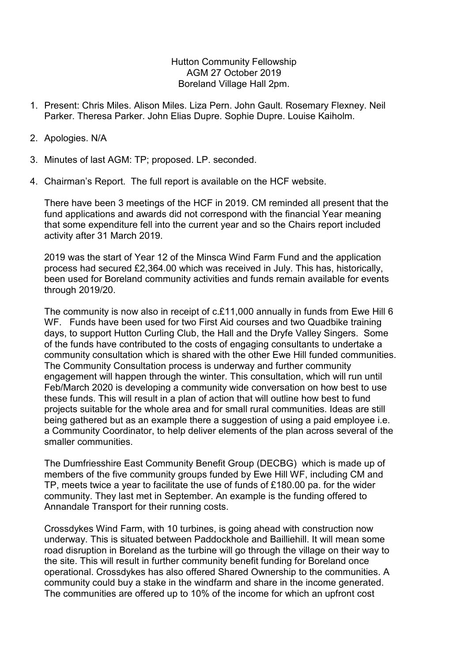Hutton Community Fellowship AGM 27 October 2019 Boreland Village Hall 2pm.

- 1. Present: Chris Miles. Alison Miles. Liza Pern. John Gault. Rosemary Flexney. Neil Parker. Theresa Parker. John Elias Dupre. Sophie Dupre. Louise Kaiholm.
- 2. Apologies. N/A
- 3. Minutes of last AGM: TP; proposed. LP. seconded.
- 4. Chairman's Report. The full report is available on the HCF website.

There have been 3 meetings of the HCF in 2019. CM reminded all present that the fund applications and awards did not correspond with the financial Year meaning that some expenditure fell into the current year and so the Chairs report included activity after 31 March 2019.

2019 was the start of Year 12 of the Minsca Wind Farm Fund and the application process had secured £2,364.00 which was received in July. This has, historically, been used for Boreland community activities and funds remain available for events through 2019/20.

The community is now also in receipt of c.£11,000 annually in funds from Ewe Hill 6 WF. Funds have been used for two First Aid courses and two Quadbike training days, to support Hutton Curling Club, the Hall and the Dryfe Valley Singers. Some of the funds have contributed to the costs of engaging consultants to undertake a community consultation which is shared with the other Ewe Hill funded communities. The Community Consultation process is underway and further community engagement will happen through the winter. This consultation, which will run until Feb/March 2020 is developing a community wide conversation on how best to use these funds. This will result in a plan of action that will outline how best to fund projects suitable for the whole area and for small rural communities. Ideas are still being gathered but as an example there a suggestion of using a paid employee i.e. a Community Coordinator, to help deliver elements of the plan across several of the smaller communities.

The Dumfriesshire East Community Benefit Group (DECBG) which is made up of members of the five community groups funded by Ewe Hill WF, including CM and TP, meets twice a year to facilitate the use of funds of £180.00 pa. for the wider community. They last met in September. An example is the funding offered to Annandale Transport for their running costs.

Crossdykes Wind Farm, with 10 turbines, is going ahead with construction now underway. This is situated between Paddockhole and Bailliehill. It will mean some road disruption in Boreland as the turbine will go through the village on their way to the site. This will result in further community benefit funding for Boreland once operational. Crossdykes has also offered Shared Ownership to the communities. A community could buy a stake in the windfarm and share in the income generated. The communities are offered up to 10% of the income for which an upfront cost